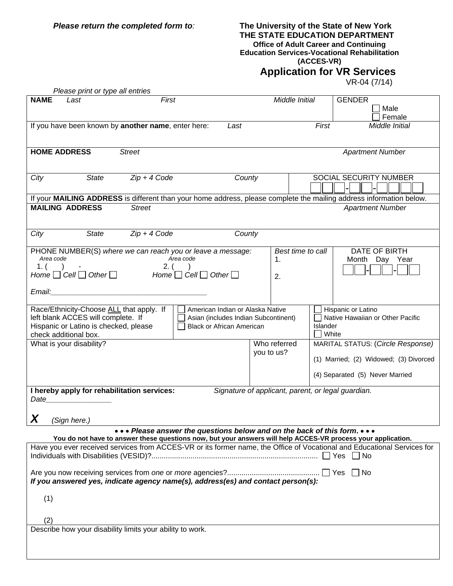Month Day Year **Please return the completed form to: HOME ADDRESS MAILING ADDRESS** *Home*  $\Box$  Cell  $\Box$  Other  $\Box$  *Home*  $\Box$  Cell  $\Box$  Other White I hereby apply for rehabilitation services: Individuals with Disabilities (VESID)?................................................................................. Yes No Are you now receiving services from *one* or *more* agencies?............................................. Yes No *Please return the completed form to:* **The University of the State of New York THE STATE EDUCATION DEPARTMENT Office of Adult Career and Continuing Education Services-Vocational Rehabilitation (ACCES-VR) Application for VR Services** VR-04 (7/14) *Please print or type all entries*  **NAME** *Last First Middle Initial* GENDER Male Female If you have been known by **another name**, enter here: *Last First Middle Initial Apartment Number 3 Apartment Number 3 Apartment Number 3 Apartment Number 3 Apartment Number 3 Apartment Number 3 Apartment Number 3 Apartment Number 3 Apartment Number 3 Apartment Number 3 Apartment Number 3 Apartment N City* State  $Zip + 4 Code$  Code County SOCIAL SECURITY NUMBER -<u>| || |</u>-If your **MAILING ADDRESS** is different than your home address, please complete the mailing address information below. **Manufacturer** *Street Mail Street**Apartment Number**Apartment Number* **<b>***Apartment Number City State Zip + 4 Code County*  PHONE NUMBER(S) *where we can reach you or leave a message: Area code Area code* 1. ( ) - 2. ( ) *Best time to call*  1. 2. DATE OF BIRTH -UU-Race/Ethnicity-Choose ALL that apply. If left blank ACCES will complete. If Hispanic or Latino is checked, please check additional box. American Indian or Alaska Native Asian (includes Indian Subcontinent) Black or African American Hispanic or Latino Native Hawaiian or Other Pacific **Islander** What is your disability? Who referred you to us? MARITAL STATUS: (*Circle Response)*  (1) Married; (2) Widowed; (3) Divorced (4) Separated (5) Never Married Signature of applicant, parent, or legal guardian. *X (Sign here.) Please answer the questions below and on the back of this form***. You do not have to answer these questions now, but your answers will help ACCES-VR process your application.** Have you ever received services from ACCES-VR or its former name, the Office of Vocational and Educational Services for *If you answered yes, indicate agency name(s), address(es) and contact person(s):* 

 $(2)$ Describe how your disability limits your ability to work.

 $(1)$ 

*Email:\_\_\_\_\_\_\_\_\_\_\_\_\_\_\_\_\_\_\_\_\_\_\_\_\_\_\_\_\_\_\_\_\_\_\_\_\_\_* 

*Date\_\_\_\_\_\_\_\_\_\_\_\_\_\_\_\_*